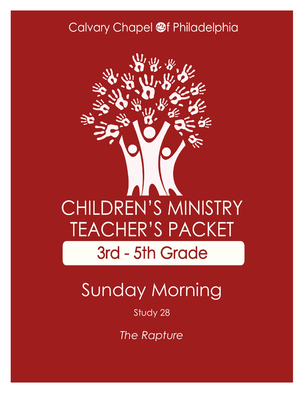## Calvary Chapel @f Philadelphia



# Sunday Morning

### Study 28

*The Rapture*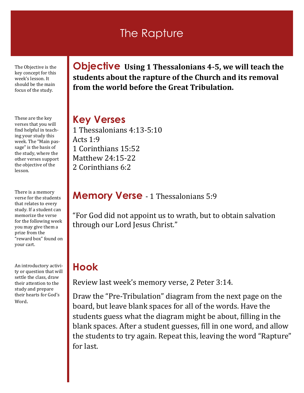### The Rapture

The Objective is the key concept for this week's lesson. It should be the main focus of the study.

These are the key verses that you will find helpful in teaching your study this week. The "Main passage" is the basis of the study, where the other verses support the objective of the lesson.

There is a memory verse for the students that relates to every study. If a student can memorize the verse for the following week you may give them a prize from the "reward box" found on your cart.

An introductory activity or question that will settle the class, draw their attention to the study and prepare their hearts for God's Word.

**Objective Using 1 Thessalonians 4-5, we will teach the students about the rapture of the Church and its removal from the world before the Great Tribulation.**

#### **Key Verses**

1 Thessalonians 4:13-5:10 Acts 1:9 1 Corinthians 15:52 Matthew 24:15-22 2 Corinthians 6:2

#### **Memory Verse** - 1 Thessalonians 5:9

"For God did not appoint us to wrath, but to obtain salvation through our Lord Jesus Christ."

### **Hook**

Review last week's memory verse, 2 Peter 3:14.

Draw the "Pre-Tribulation" diagram from the next page on the board, but leave blank spaces for all of the words. Have the students guess what the diagram might be about, filling in the blank spaces. After a student guesses, fill in one word, and allow the students to try again. Repeat this, leaving the word "Rapture" for last.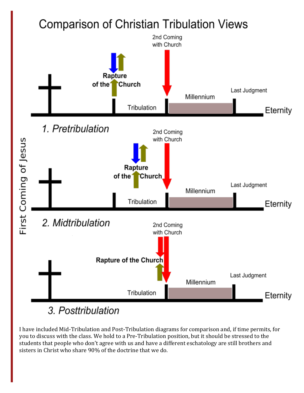## Comparison of Christian Tribulation Views



3. Posttribulation

I have included Mid-Tribulation and Post-Tribulation diagrams for comparison and, if time permits, for you to discuss with the class. We hold to a Pre-Tribulation position, but it should be stressed to the students that people who don't agree with us and have a different eschatology are still brothers and sisters in Christ who share 90% of the doctrine that we do.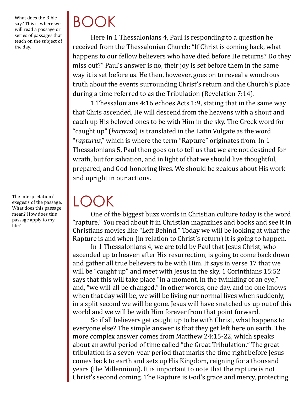What does the Bible say? This is where we will read a passage or series of passages that teach on the subject of the day.

The interpretation/ exegesis of the passage. What does this passage mean? How does this passage apply to my life?

# BOOK

Here in 1 Thessalonians 4, Paul is responding to a question he received from the Thessalonian Church: "If Christ is coming back, what happens to our fellow believers who have died before He returns? Do they miss out?" Paul's answer is no, their joy is set before them in the same way it is set before us. He then, however, goes on to reveal a wondrous truth about the events surrounding Christ's return and the Church's place during a time referred to as the Tribulation (Revelation 7:14).

1 Thessalonians 4:16 echoes Acts 1:9, stating that in the same way that Chris ascended, He will descend from the heavens with a shout and catch up His beloved ones to be with Him in the sky. The Greek word for "caught up" (*harpazo*) is translated in the Latin Vulgate as the word "*rapturus*," which is where the term "Rapture" originates from. In 1 Thessalonians 5, Paul then goes on to tell us that we are not destined for wrath, but for salvation, and in light of that we should live thoughtful, prepared, and God-honoring lives. We should be zealous about His work and upright in our actions.

LOOK

One of the biggest buzz words in Christian culture today is the word "rapture." You read about it in Christian magazines and books and see it in Christians movies like "Left Behind." Today we will be looking at what the Rapture is and when (in relation to Christ's return) it is going to happen.

In 1 Thessalonians 4, we are told by Paul that Jesus Christ, who ascended up to heaven after His resurrection, is going to come back down and gather all true believers to be with Him. It says in verse 17 that we will be "caught up" and meet with Jesus in the sky. 1 Corinthians 15:52 says that this will take place "in a moment, in the twinkling of an eye," and, "we will all be changed." In other words, one day, and no one knows when that day will be, we will be living our normal lives when suddenly, in a split second we will be gone. Jesus will have snatched us up out of this world and we will be with Him forever from that point forward.

So if all believers get caught up to be with Christ, what happens to everyone else? The simple answer is that they get left here on earth. The more complex answer comes from Matthew 24:15-22, which speaks about an awful period of time called "the Great Tribulation." The great tribulation is a seven-year period that marks the time right before Jesus comes back to earth and sets up His Kingdom, reigning for a thousand years (the Millennium). It is important to note that the rapture is not Christ's second coming. The Rapture is God's grace and mercy, protecting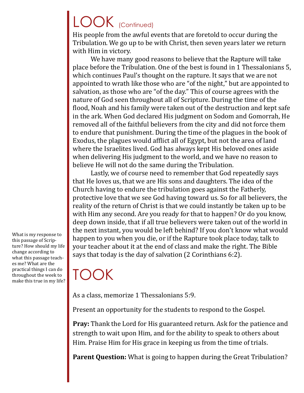## LOOK (Continued)

His people from the awful events that are foretold to occur during the Tribulation. We go up to be with Christ, then seven years later we return with Him in victory.

We have many good reasons to believe that the Rapture will take place before the Tribulation. One of the best is found in 1 Thessalonians 5, which continues Paul's thought on the rapture. It says that we are not appointed to wrath like those who are "of the night," but are appointed to salvation, as those who are "of the day." This of course agrees with the nature of God seen throughout all of Scripture. During the time of the flood, Noah and his family were taken out of the destruction and kept safe in the ark. When God declared His judgment on Sodom and Gomorrah, He removed all of the faithful believers from the city and did not force them to endure that punishment. During the time of the plagues in the book of Exodus, the plagues would afflict all of Egypt, but not the area of land where the Israelites lived. God has always kept His beloved ones aside when delivering His judgment to the world, and we have no reason to believe He will not do the same during the Tribulation.

Lastly, we of course need to remember that God repeatedly says that He loves us, that we are His sons and daughters. The idea of the Church having to endure the tribulation goes against the Fatherly, protective love that we see God having toward us. So for all believers, the reality of the return of Christ is that we could instantly be taken up to be with Him any second. Are you ready for that to happen? Or do you know, deep down inside, that if all true believers were taken out of the world in the next instant, you would be left behind? If you don't know what would happen to you when you die, or if the Rapture took place today, talk to your teacher about it at the end of class and make the right. The Bible says that today is the day of salvation (2 Corinthians 6:2).

TOOK

As a class, memorize 1 Thessalonians 5:9.

Present an opportunity for the students to respond to the Gospel.

**Pray:** Thank the Lord for His guaranteed return. Ask for the patience and strength to wait upon Him, and for the ability to speak to others about Him. Praise Him for His grace in keeping us from the time of trials.

**Parent Question:** What is going to happen during the Great Tribulation?

What is my response to this passage of Scripture? How should my life change according to what this passage teaches me? What are the practical things I can do throughout the week to make this true in my life?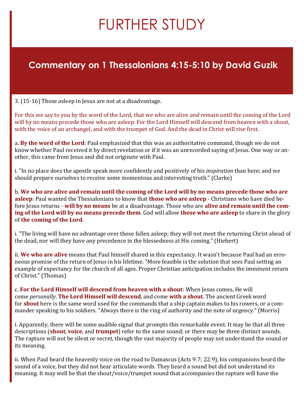## FURTHER STUDY

### **Commentary on 1 Thessalonians 4:15-5:10 by David Guzik**

3. (15-16) Those asleep in Jesus are not at a disadvantage.

For this we say to you by the word of the Lord, that we who are alive *and* remain until the coming of the Lord will by no means precede those who are asleep. For the Lord Himself will descend from heaven with a shout, with the voice of an archangel, and with the trumpet of God. And the dead in Christ will rise first.

a. **By the word of the Lord**: Paul emphasized that this was an authoritative command, though we do not know whether Paul received it by direct revelation or if it was an unrecorded saying of Jesus. One way or another, this came from Jesus and did not originate with Paul.

i. "In no place does the apostle speak more confidently and positively of his *inspiration* than here; and we should prepare ourselves to receive some momentous and interesting truth." (Clarke)

b. **We who are alive and remain until the coming of the Lord will by no means precede those who are asleep**: Paul wanted the Thessalonians to know that **those who are asleep** - Christians who have died before Jesus returns - **will by no means** be at a disadvantage. Those who are **alive and remain until the coming of the Lord will by no means precede them**. God will allow **those who are asleep** to share in the glory of **the coming of the Lord**.

i. "The living will have no advantage over those fallen asleep; they will not meet the returning Christ ahead of the dead, nor will they have any precedence in the blessedness at His coming." (Hiebert)

ii. **We who are alive** means that Paul himself shared in this expectancy. It wasn't because Paul had an erroneous promise of the return of Jesus in his lifetime. "More feasible is the solution that sees Paul setting an example of expectancy for the church of all ages. Proper Christian anticipation includes the imminent return of Christ." (Thomas)

c. **For the Lord Himself will descend from heaven with a shout**: When Jesus comes, He will come *personally*. **The Lord Himself will descend**, and come **with a shout**. The ancient Greek word for **shout** here is the same word used for the commands that a ship captain makes to his rowers, or a commander speaking to his soldiers. "Always there is the ring of authority and the note of urgency." (Morris)

i. Apparently, there will be some audible signal that prompts this remarkable event. It may be that all three descriptions (**shout**, **voice**, and **trumpet**) refer to the same sound; or there may be three distinct sounds. The rapture will not be silent or secret, though the vast majority of people may not understand the sound or its meaning.

ii. When Paul heard the heavenly voice on the road to Damascus (Acts 9:7; 22:9), his companions heard the sound of a voice, but they did not hear articulate words. They heard a sound but did not understand its meaning. It may well be that the shout/voice/trumpet sound that accompanies the rapture will have the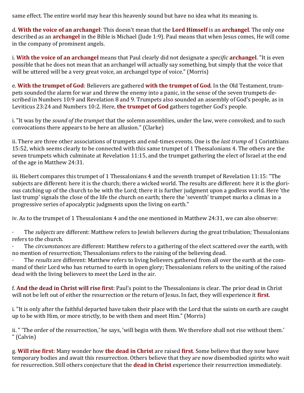same effect. The entire world may hear this heavenly sound but have no idea what its meaning is.

d. **With the voice of an archangel**: This doesn't mean that the **Lord Himself** is an **archangel**. The only one described as an **archangel** in the Bible is Michael (Jude 1:9). Paul means that when Jesus comes, He will come in the company of prominent angels.

i. **With the voice of an archangel** means that Paul clearly did not designate a *specific* **archangel**. "It is even possible that he does not mean that an archangel will actually say something, but simply that the voice that will be uttered will be a very great voice, an archangel type of voice." (Morris)

e. **With the trumpet of God**: Believers are gathered **with the trumpet of God**. In the Old Testament, trumpets sounded the alarm for war and threw the enemy into a panic, in the sense of the seven trumpets described in Numbers 10:9 and Revelation 8 and 9. Trumpets also sounded an assembly of God's people, as in Leviticus 23:24 and Numbers 10:2. Here, **the trumpet of God** gathers together God's people.

i. "It was by the *sound of the trumpet* that the solemn assemblies, under the law, were convoked; and to such convocations there appears to be here an allusion." (Clarke)

ii. There are three other associations of trumpets and end-times events. One is the *last trump* of 1 Corinthians 15:52, which seems clearly to be connected with this same trumpet of 1 Thessalonians 4. The others are the seven trumpets which culminate at Revelation 11:15, and the trumpet gathering the elect of Israel at the end of the age in Matthew 24:31.

iii. Hiebert compares this trumpet of 1 Thessalonians 4 and the seventh trumpet of Revelation 11:15: "The subjects are different: here it is the church; there a wicked world. The results are different: here it is the glorious catching up of the church to be with the Lord; there it is further judgment upon a godless world. Here 'the last trump' signals the close of the life the church on earth; there the 'seventh' trumpet marks a climax in a progressive series of apocalyptic judgments upon the living on earth."

iv. As to the trumpet of 1 Thessalonians 4 and the one mentioned in Matthew 24:31, we can also observe:

· The *subjects* are different: Matthew refers to Jewish believers during the great tribulation; Thessalonians refers to the church.

· The *circumstances* are different: Matthew refers to a gathering of the elect scattered over the earth, with no mention of resurrection; Thessalonians refers to the raising of the believing dead.

· The *results* are different: Matthew refers to living believers gathered from all over the earth at the command of their Lord who has returned to earth in open glory; Thessalonians refers to the uniting of the raised dead with the living believers to meet the Lord in the air.

f. **And the dead in Christ will rise first**: Paul's point to the Thessalonians is clear. The prior dead in Christ will not be left out of either the resurrection or the return of Jesus. In fact, they will experience it **first**.

i. "It is only after the faithful departed have taken their place with the Lord that the saints on earth are caught up to be with Him, or more strictly, to be with them and meet Him." (Morris)

ii. " 'The order of the resurrection,' he says, 'will begin with them. We therefore shall not rise without them.' " (Calvin)

g. **Will rise first**: Many wonder how **the dead in Christ** are raised **first**. Some believe that they now have temporary bodies and await this resurrection. Others believe that they are now disembodied spirits who wait for resurrection. Still others conjecture that the **dead in Christ** experience their resurrection immediately.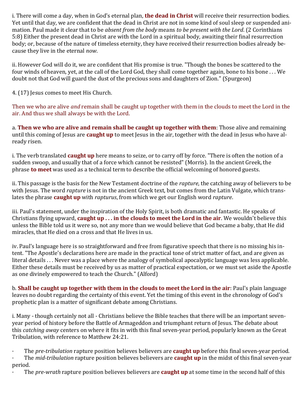i. There will come a day, when in God's eternal plan, **the dead in Christ** will receive their resurrection bodies. Yet until that day, we are confident that the dead in Christ are not in some kind of soul sleep or suspended animation. Paul made it clear that to be *absent from the body* means *to be present with the Lord*. (2 Corinthians 5:8) Either the present dead in Christ are with the Lord in a spiritual body, awaiting their final resurrection body; or, because of the nature of timeless eternity, they have received their resurrection bodies already because they live in the eternal *now*.

ii. However God will do it, we are confident that His promise is true. "Though the bones be scattered to the four winds of heaven, yet, at the call of the Lord God, they shall come together again, bone to his bone . . . We doubt not that God will guard the dust of the precious sons and daughters of Zion." (Spurgeon)

4. (17) Jesus comes to meet His Church.

Then we who are alive *and* remain shall be caught up together with them in the clouds to meet the Lord in the air. And thus we shall always be with the Lord.

a. **Then we who are alive and remain shall be caught up together with them**: Those alive and remaining until this coming of Jesus are **caught up** to meet Jesus in the air, together with the dead in Jesus who have already risen.

i. The verb translated **caught up** here means to seize, or to carry off by force. "There is often the notion of a sudden swoop, and usually that of a force which cannot be resisted" (Morris). In the ancient Greek, the phrase **to meet** was used as a technical term to describe the official welcoming of honored guests.

ii. This passage is the basis for the New Testament doctrine of the *rapture*, the catching away of believers to be with Jesus. The word *rapture* is not in the ancient Greek text, but comes from the Latin Vulgate, which translates the phrase **caught up** with *rapturus*, from which we get our English word *rapture*.

iii. Paul's statement, under the inspiration of the Holy Spirit, is both dramatic and fantastic. He speaks of Christians flying upward, **caught up . . . in the clouds to meet the Lord in the air**. We wouldn't believe this unless the Bible told us it were so, not any more than we would believe that God became a baby, that He did miracles, that He died on a cross and that He lives in us.

iv. Paul's language here is so straightforward and free from figurative speech that there is no missing his intent. "The Apostle's declarations here are made in the practical tone of strict matter of fact, and are given as literal details . . . Never was a place where the analogy of symbolical apocalyptic language was less applicable. Either these details must be received by us as matter of practical expectation, or we must set aside the Apostle as one divinely empowered to teach the Church." (Alford)

b. **Shall be caught up together with them in the clouds to meet the Lord in the air**: Paul's plain language leaves no doubt regarding the certainty of this event. Yet the timing of this event in the chronology of God's prophetic plan is a matter of significant debate among Christians.

i. Many - though certainly not all - Christians believe the Bible teaches that there will be an important sevenyear period of history before the Battle of Armageddon and triumphant return of Jesus. The debate about this *catching away* centers on where it fits in with this final seven-year period, popularly known as the Great Tribulation, with reference to Matthew 24:21.

- · The *pre-tribulation* rapture position believes believers are **caught up** before this final seven-year period.
- · The *mid-tribulation* rapture position believes believers are **caught up** in the midst of this final seven-year period.
- · The *pre-wrath* rapture position believes believers are **caught up** at some time in the second half of this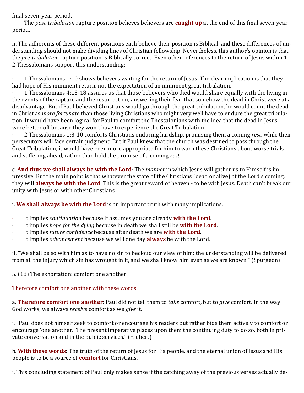final seven-year period.

· The *post-tribulation* rapture position believes believers are **caught up** at the end of this final seven-year period.

ii. The adherents of these different positions each believe their position is Biblical, and these differences of understanding should not make dividing lines of Christian fellowship. Nevertheless, this author's opinion is that the *pre-tribulation* rapture position is Biblically correct. Even other references to the return of Jesus within 1- 2 Thessalonians support this understanding:

· 1 Thessalonians 1:10 shows believers waiting for the return of Jesus. The clear implication is that they had hope of His imminent return, not the expectation of an imminent great tribulation.

· 1 Thessalonians 4:13-18 assures us that those believers who died would share equally with the living in the events of the rapture and the resurrection, answering their fear that somehow the dead in Christ were at a disadvantage. But if Paul believed Christians would go through the great tribulation, he would count the dead in Christ as *more fortunate* than those living Christians who might very well have to endure the great tribulation. It would have been logical for Paul to comfort the Thessalonians with the idea that the dead in Jesus were better off because they won't have to experience the Great Tribulation.

· 2 Thessalonians 1:3-10 comforts Christians enduring hardship, promising them a coming *rest*, while their persecutors will face certain judgment. But if Paul knew that the church was destined to pass through the Great Tribulation, it would have been more appropriate for him to warn these Christians about worse trials and suffering ahead, rather than hold the promise of a coming *rest*.

c. **And thus we shall always be with the Lord**: The *manner* in which Jesus will gather us to Himself is impressive. But the main point is that whatever the state of the Christians (dead or alive) at the Lord's coming, they will **always be with the Lord**. This is the great reward of heaven - to be with Jesus. Death can't break our unity with Jesus or with other Christians.

i. **We shall always be with the Lord** is an important truth with many implications.

- · It implies *continuation* because it assumes you are already **with the Lord**.
- · It implies *hope for the dying* because in death we shall still be **with the Lord**.
- · It implies *future confidence* because after death we are **with the Lord**.
- · It implies *advancement* because we will one day **always** be with the Lord.

ii. "We shall be so with him as to have no sin to becloud our view of him: the understanding will be delivered from all the injury which sin has wrought in it, and we shall know him even as we are known." (Spurgeon)

5. (18) The exhortation: comfort one another.

Therefore comfort one another with these words.

a. **Therefore comfort one another**: Paul did not tell them to *take* comfort, but to *give* comfort. In the way God works, we always *receive* comfort as we *give* it.

i. "Paul does not himself seek to comfort or encourage his readers but rather bids them actively to comfort or encourage 'one another.' The present imperative places upon them the continuing duty to do so, both in private conversation and in the public services." (Hiebert)

b. **With these words**: The truth of the return of Jesus for His people, and the eternal union of Jesus and His people is to be a source of **comfort** for Christians.

i. This concluding statement of Paul only makes sense if the catching away of the previous verses actually de-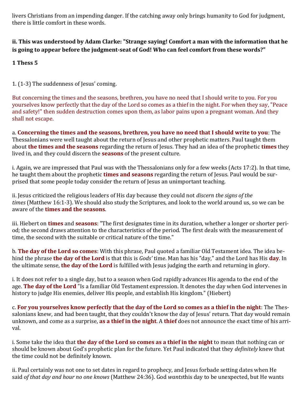livers Christians from an impending danger. If the catching away only brings humanity to God for judgment, there is little comfort in these words.

#### **ii. This was understood by Adam Clarke: "Strange saying! Comfort a man with the information that he is going to appear before the judgment-seat of God! Who can feel comfort from these words?"**

**1 Thess 5**

1. (1-3) The suddenness of Jesus' coming.

But concerning the times and the seasons, brethren, you have no need that I should write to you. For you yourselves know perfectly that the day of the Lord so comes as a thief in the night. For when they say, "Peace and safety!" then sudden destruction comes upon them, as labor pains upon a pregnant woman. And they shall not escape.

a. **Concerning the times and the seasons, brethren, you have no need that I should write to you**: The Thessalonians were well taught about the return of Jesus and other prophetic matters. Paul taught them about **the times and the seasons** regarding the return of Jesus. They had an idea of the prophetic **times** they lived in, and they could discern the **seasons** of the present culture.

i. Again, we are impressed that Paul was with the Thessalonians only for a few weeks (Acts 17:2). In that time, he taught them about the prophetic **times and seasons** regarding the return of Jesus. Paul would be surprised that some people today consider the return of Jesus an unimportant teaching.

ii. Jesus criticized the religious leaders of His day because they could not *discern the signs of the times* (Matthew 16:1-3). We should also study the Scriptures, and look to the world around us, so we can be aware of the **times and the seasons**.

iii. Hiebert on **times** and **seasons**: "The first designates time in its duration, whether a longer or shorter period; the second draws attention to the characteristics of the period. The first deals with the measurement of time, the second with the suitable or critical nature of the time."

b. **The day of the Lord so comes**: With this phrase, Paul quoted a familiar Old Testament idea. The idea behind the phrase **the day of the Lord** is that this is *Gods'* time. Man has his "day," and the Lord has His **day**. In the ultimate sense, **the day of the Lord** is fulfilled with Jesus judging the earth and returning in glory.

i. It does not refer to a single day, but to a season when God rapidly advances His agenda to the end of the age. **The day of the Lord** "Is a familiar Old Testament expression. It denotes the day when God intervenes in history to judge His enemies, deliver His people, and establish His kingdom." (Hiebert)

c. **For you yourselves know perfectly that the day of the Lord so comes as a thief in the night**: The Thessalonians knew, and had been taught, that they couldn't know the day of Jesus' return. That day would remain unknown, and come as a surprise, **as a thief in the night**. A **thief** does not announce the exact time of his arrival.

i. Some take the idea that **the day of the Lord so comes as a thief in the night** to mean that nothing can or should be known about God's prophetic plan for the future. Yet Paul indicated that they *definitely* knew that the time could not be definitely known.

ii. Paul certainly was not one to set dates in regard to prophecy, and Jesus forbade setting dates when He said *of that day and hour no one knows* (Matthew 24:36). God *wants*this day to be unexpected, but He wants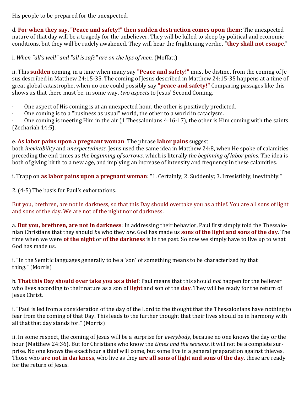His people to be prepared for the unexpected.

d. **For when they say, "Peace and safety!" then sudden destruction comes upon them**: The unexpected nature of that day will be a tragedy for the unbeliever. They will be lulled to sleep by political and economic conditions, but they will be rudely awakened. They will hear the frightening verdict "**they shall not escape**."

i. *When "all's well" and "all is safe" are on the lips of men.* (Moffatt)

ii. This **sudden** coming, in a time when many say **"Peace and safety!"** must be distinct from the coming of Jesus described in Matthew 24:15-35. The coming of Jesus described in Matthew 24:15-35 happens at a time of great global catastrophe, when no one could possibly say **"peace and safety!"** Comparing passages like this shows us that there must be, in some way, *two aspects* to Jesus' Second Coming.

- One aspect of His coming is at an unexpected hour, the other is positively predicted.
- · One coming is to a "business as usual" world, the other to a world in cataclysm.

One coming is meeting Him in the air (1 Thessalonians 4:16-17), the other is Him coming with the saints (Zechariah 14:5).

#### e. **As labor pains upon a pregnant woman**: The phrase **labor pains** suggest

both *inevitability* and *unexpectedness*. Jesus used the same idea in Matthew 24:8, when He spoke of calamities preceding the end times as *the beginning of sorrows*, which is literally *the beginning of labor pains*. The idea is both of giving birth to a new age, and implying an increase of intensity and frequency in these calamities.

i. Trapp on **as labor pains upon a pregnant woman**: "1. Certainly; 2. Suddenly; 3. Irresistibly, inevitably."

2. (4-5) The basis for Paul's exhortations.

But you, brethren, are not in darkness, so that this Day should overtake you as a thief. You are all sons of light and sons of the day. We are not of the night nor of darkness.

a. **But you, brethren, are not in darkness**: In addressing their behavior, Paul first simply told the Thessalonian Christians that they should *be* who they *are*. God has made us **sons of the light and sons of the day**. The time when we were **of the night** or **of the darkness** is in the past. So now we simply have to live up to what God has made us.

i. "In the Semitic languages generally to be a 'son' of something means to be characterized by that thing." (Morris)

b. **That this Day should over take you as a thief**: Paul means that this should *not* happen for the believer who lives according to their nature as a son of **light** and son of the **day**. They will be ready for the return of Jesus Christ.

i. "Paul is led from a consideration of the day of the Lord to the thought that the Thessalonians have nothing to fear from the coming of that Day. This leads to the further thought that their lives should be in harmony with all that that day stands for." (Morris)

ii. In some respect, the coming of Jesus will be a surprise for *everybody*, because no one knows the day or the hour (Matthew 24:36). But for Christians who know the *times and the seasons*, it will not be a complete surprise. No one knows the exact hour a thief will come, but some live in a general preparation against thieves. Those who **are not in darkness**, who live as they **are all sons of light and sons of the day**, these are ready for the return of Jesus.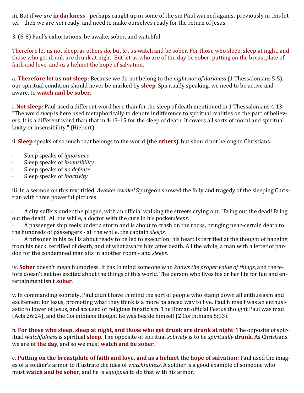iii. But if we *are* **in darkness** - perhaps caught up in some of the sin Paul warned against previously in this letter - then we are *not* ready, and need to make ourselves ready for the return of Jesus.

3. (6-8) Paul's exhortations: be awake, sober, and watchful.

Therefore let us not sleep, as others *do,* but let us watch and be sober. For those who sleep, sleep at night, and those who get drunk are drunk at night. But let us who are of the day be sober, putting on the breastplate of faith and love, and *as* a helmet the hope of salvation.

a. **Therefore let us not sleep**: Because we do not belong to the *night nor of darkness* (1 Thessalonians 5:5), our spiritual condition should never be marked by **sleep**. Spiritually speaking, we need to be active and aware, to **watch and be sober**.

i. **Not sleep**: Paul used a different word here than for the sleep of death mentioned in 1 Thessalonians 4:13. "The word *sleep* is here used metaphorically to denote indifference to spiritual realities on the part of believers. It is a different word than that in 4:13-15 for the sleep of death. It covers all sorts of moral and spiritual laxity or insensibility." (Hiebert)

ii. **Sleep** speaks of so much that belongs to the world (the **others**), but should not belong to Christians:

- · Sleep speaks of *ignorance*
- · Sleep speaks of *insensibility*
- · Sleep speaks of *no defense*
- · Sleep speaks of *inactivity*

iii. In a sermon on this text titled, *Awake! Awake!* Spurgeon showed the folly and tragedy of the sleeping Christian with three powerful pictures:

· A city suffers under the plague, with an official walking the streets crying out, "Bring out the dead! Bring out the dead!" All the while, a doctor with the cure in his pocket*sleeps*.

· A passenger ship reels under a storm and is about to crash on the rocks, bringing near-certain death to the hundreds of passengers - all the while, the captain *sleeps*.

· A prisoner in his cell is about ready to be led to execution; his heart is terrified at the thought of hanging from his neck, terrified of death, and of what awaits him after death. All the while, a man with a letter of pardon for the condemned man sits in another room - and *sleeps*.

iv. **Sober** doesn't mean humorless. It has in mind someone who *knows the proper value of things*, and therefore doesn't get too excited about the things of this world. The person who lives his or her life for fun and entertainment isn't **sober**.

v. In commanding sobriety, Paul didn't have in mind the sort of people who stamp down all enthusiasm and excitement for Jesus, promoting what they think is a more balanced way to live. Paul himself was an enthusiastic follower of Jesus, and accused of religious fanaticism. The Roman official Festus thought Paul was mad (Acts 26:24), and the Corinthians thought he was beside himself (2 Corinthians 5:13).

b. **For those who sleep, sleep at night, and those who get drunk are drunk at night**: The opposite of spiritual *watchfulness* is spiritual **sleep**. The opposite of spiritual *sobriety* is to be *spiritually* **drunk**. As Christians we are **of the day**, and so we must **watch and be sober**.

c. **Putting on the breastplate of faith and love, and as a helmet the hope of salvation**: Paul used the images of a soldier's armor to illustrate the idea of *watchfulness*. A soldier is a good example of someone who must **watch and be sober**, and he is *equipped* to do that with his armor.